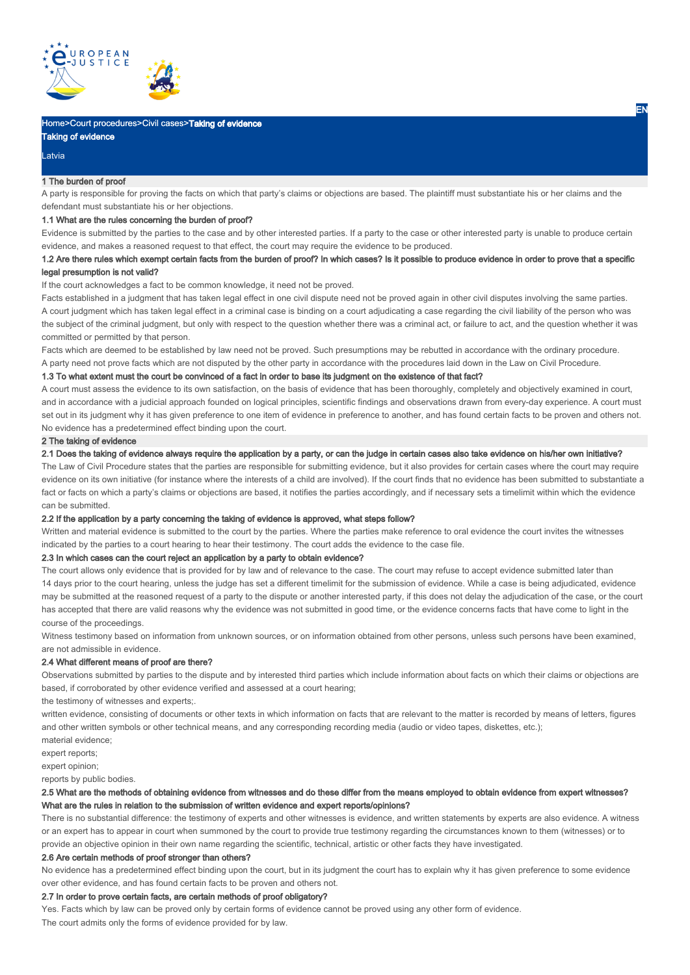

## Home>Court procedures>Civil cases>Taking of evidence

# Taking of evidence

#### Latvia

#### 1 The burden of proof

A party is responsible for proving the facts on which that party's claims or objections are based. The plaintiff must substantiate his or her claims and the defendant must substantiate his or her objections.

## 1.1 What are the rules concerning the burden of proof?

Evidence is submitted by the parties to the case and by other interested parties. If a party to the case or other interested party is unable to produce certain evidence, and makes a reasoned request to that effect, the court may require the evidence to be produced.

## 1.2 Are there rules which exempt certain facts from the burden of proof? In which cases? Is it possible to produce evidence in order to prove that a specific legal presumption is not valid?

If the court acknowledges a fact to be common knowledge, it need not be proved.

Facts established in a judgment that has taken legal effect in one civil dispute need not be proved again in other civil disputes involving the same parties. A court judgment which has taken legal effect in a criminal case is binding on a court adjudicating a case regarding the civil liability of the person who was the subject of the criminal judgment, but only with respect to the question whether there was a criminal act, or failure to act, and the question whether it was committed or permitted by that person.

Facts which are deemed to be established by law need not be proved. Such presumptions may be rebutted in accordance with the ordinary procedure. A party need not prove facts which are not disputed by the other party in accordance with the procedures laid down in the Law on Civil Procedure.

#### 1.3 To what extent must the court be convinced of a fact in order to base its judgment on the existence of that fact?

A court must assess the evidence to its own satisfaction, on the basis of evidence that has been thoroughly, completely and objectively examined in court, and in accordance with a judicial approach founded on logical principles, scientific findings and observations drawn from every-day experience. A court must set out in its judgment why it has given preference to one item of evidence in preference to another, and has found certain facts to be proven and others not. No evidence has a predetermined effect binding upon the court.

#### 2 The taking of evidence

2.1 Does the taking of evidence always require the application by a party, or can the judge in certain cases also take evidence on his/her own initiative?

The Law of Civil Procedure states that the parties are responsible for submitting evidence, but it also provides for certain cases where the court may require evidence on its own initiative (for instance where the interests of a child are involved). If the court finds that no evidence has been submitted to substantiate a fact or facts on which a party's claims or objections are based, it notifies the parties accordingly, and if necessary sets a timelimit within which the evidence can be submitted.

#### 2.2 If the application by a party concerning the taking of evidence is approved, what steps follow?

Written and material evidence is submitted to the court by the parties. Where the parties make reference to oral evidence the court invites the witnesses indicated by the parties to a court hearing to hear their testimony. The court adds the evidence to the case file.

#### 2.3 In which cases can the court reject an application by a party to obtain evidence?

The court allows only evidence that is provided for by law and of relevance to the case. The court may refuse to accept evidence submitted later than 14 days prior to the court hearing, unless the judge has set a different timelimit for the submission of evidence. While a case is being adjudicated, evidence may be submitted at the reasoned request of a party to the dispute or another interested party, if this does not delay the adjudication of the case, or the court has accepted that there are valid reasons why the evidence was not submitted in good time, or the evidence concerns facts that have come to light in the course of the proceedings.

Witness testimony based on information from unknown sources, or on information obtained from other persons, unless such persons have been examined, are not admissible in evidence.

#### 2.4 What different means of proof are there?

Observations submitted by parties to the dispute and by interested third parties which include information about facts on which their claims or objections are based, if corroborated by other evidence verified and assessed at a court hearing;

the testimony of witnesses and experts;.

written evidence, consisting of documents or other texts in which information on facts that are relevant to the matter is recorded by means of letters, figures and other written symbols or other technical means, and any corresponding recording media (audio or video tapes, diskettes, etc.);

material evidence;

expert reports;

expert opinion;

reports by public bodies.

## 2.5 What are the methods of obtaining evidence from witnesses and do these differ from the means employed to obtain evidence from expert witnesses? What are the rules in relation to the submission of written evidence and expert reports/opinions?

There is no substantial difference: the testimony of experts and other witnesses is evidence, and written statements by experts are also evidence. A witness or an expert has to appear in court when summoned by the court to provide true testimony regarding the circumstances known to them (witnesses) or to provide an objective opinion in their own name regarding the scientific, technical, artistic or other facts they have investigated.

#### 2.6 Are certain methods of proof stronger than others?

No evidence has a predetermined effect binding upon the court, but in its judgment the court has to explain why it has given preference to some evidence over other evidence, and has found certain facts to be proven and others not.

## 2.7 In order to prove certain facts, are certain methods of proof obligatory?

Yes. Facts which by law can be proved only by certain forms of evidence cannot be proved using any other form of evidence. The court admits only the forms of evidence provided for by law.